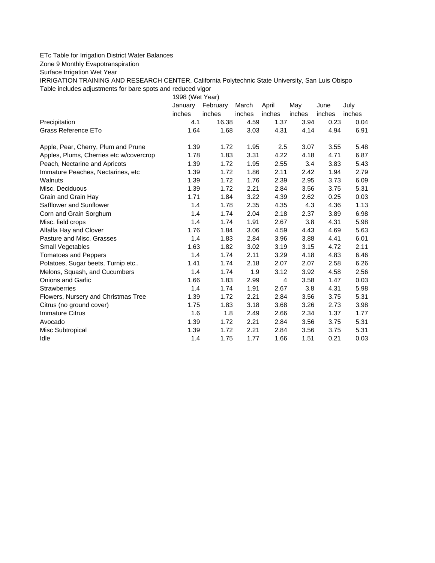## ETc Table for Irrigation District Water Balances

## Zone 9 Monthly Evapotranspiration

Surface Irrigation Wet Year

IRRIGATION TRAINING AND RESEARCH CENTER, California Polytechnic State University, San Luis Obispo Table includes adjustments for bare spots and reduced vigor

1998 (Wet Year)

|                                         | January | February | March  | April  | May    | June   | July   |
|-----------------------------------------|---------|----------|--------|--------|--------|--------|--------|
|                                         | inches  | inches   | inches | inches | inches | inches | inches |
| Precipitation                           | 4.1     | 16.38    | 4.59   | 1.37   | 3.94   | 0.23   | 0.04   |
| Grass Reference ETo                     | 1.64    | 1.68     | 3.03   | 4.31   | 4.14   | 4.94   | 6.91   |
| Apple, Pear, Cherry, Plum and Prune     | 1.39    | 1.72     | 1.95   | 2.5    | 3.07   | 3.55   | 5.48   |
| Apples, Plums, Cherries etc w/covercrop | 1.78    | 1.83     | 3.31   | 4.22   | 4.18   | 4.71   | 6.87   |
| Peach, Nectarine and Apricots           | 1.39    | 1.72     | 1.95   | 2.55   | 3.4    | 3.83   | 5.43   |
| Immature Peaches, Nectarines, etc.      | 1.39    | 1.72     | 1.86   | 2.11   | 2.42   | 1.94   | 2.79   |
| Walnuts                                 | 1.39    | 1.72     | 1.76   | 2.39   | 2.95   | 3.73   | 6.09   |
| Misc. Deciduous                         | 1.39    | 1.72     | 2.21   | 2.84   | 3.56   | 3.75   | 5.31   |
| Grain and Grain Hay                     | 1.71    | 1.84     | 3.22   | 4.39   | 2.62   | 0.25   | 0.03   |
| Safflower and Sunflower                 | 1.4     | 1.78     | 2.35   | 4.35   | 4.3    | 4.36   | 1.13   |
| Corn and Grain Sorghum                  | 1.4     | 1.74     | 2.04   | 2.18   | 2.37   | 3.89   | 6.98   |
| Misc. field crops                       | 1.4     | 1.74     | 1.91   | 2.67   | 3.8    | 4.31   | 5.98   |
| Alfalfa Hay and Clover                  | 1.76    | 1.84     | 3.06   | 4.59   | 4.43   | 4.69   | 5.63   |
| Pasture and Misc. Grasses               | 1.4     | 1.83     | 2.84   | 3.96   | 3.88   | 4.41   | 6.01   |
| Small Vegetables                        | 1.63    | 1.82     | 3.02   | 3.19   | 3.15   | 4.72   | 2.11   |
| <b>Tomatoes and Peppers</b>             | 1.4     | 1.74     | 2.11   | 3.29   | 4.18   | 4.83   | 6.46   |
| Potatoes, Sugar beets, Turnip etc       | 1.41    | 1.74     | 2.18   | 2.07   | 2.07   | 2.58   | 6.26   |
| Melons, Squash, and Cucumbers           | 1.4     | 1.74     | 1.9    | 3.12   | 3.92   | 4.58   | 2.56   |
| <b>Onions and Garlic</b>                | 1.66    | 1.83     | 2.99   | 4      | 3.58   | 1.47   | 0.03   |
| <b>Strawberries</b>                     | 1.4     | 1.74     | 1.91   | 2.67   | 3.8    | 4.31   | 5.98   |
| Flowers, Nursery and Christmas Tree     | 1.39    | 1.72     | 2.21   | 2.84   | 3.56   | 3.75   | 5.31   |
| Citrus (no ground cover)                | 1.75    | 1.83     | 3.18   | 3.68   | 3.26   | 2.73   | 3.98   |
| <b>Immature Citrus</b>                  | 1.6     | 1.8      | 2.49   | 2.66   | 2.34   | 1.37   | 1.77   |
| Avocado                                 | 1.39    | 1.72     | 2.21   | 2.84   | 3.56   | 3.75   | 5.31   |
| Misc Subtropical                        | 1.39    | 1.72     | 2.21   | 2.84   | 3.56   | 3.75   | 5.31   |
| Idle                                    | 1.4     | 1.75     | 1.77   | 1.66   | 1.51   | 0.21   | 0.03   |